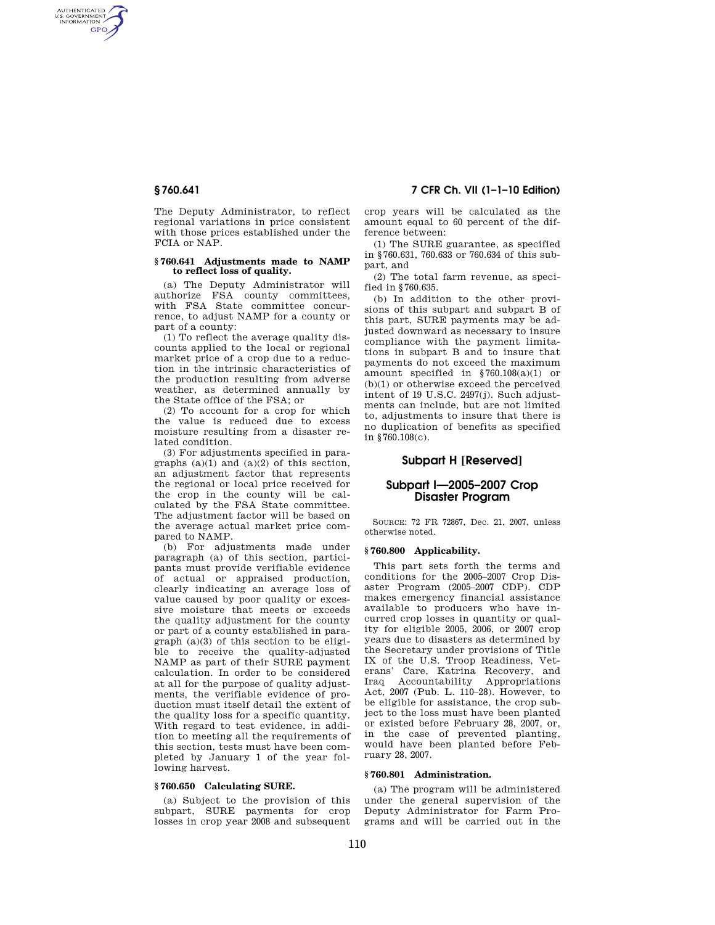AUTHENTICATED<br>U.S. GOVERNMENT<br>INFORMATION **GPO** 

> The Deputy Administrator, to reflect regional variations in price consistent with those prices established under the FCIA or NAP.

#### **§ 760.641 Adjustments made to NAMP to reflect loss of quality.**

(a) The Deputy Administrator will authorize FSA county committees, with FSA State committee concurrence, to adjust NAMP for a county or part of a county:

(1) To reflect the average quality discounts applied to the local or regional market price of a crop due to a reduction in the intrinsic characteristics of the production resulting from adverse weather, as determined annually by the State office of the FSA; or

(2) To account for a crop for which the value is reduced due to excess moisture resulting from a disaster related condition.

(3) For adjustments specified in paragraphs  $(a)(1)$  and  $(a)(2)$  of this section, an adjustment factor that represents the regional or local price received for the crop in the county will be calculated by the FSA State committee. The adjustment factor will be based on the average actual market price compared to NAMP.

(b) For adjustments made under paragraph (a) of this section, participants must provide verifiable evidence of actual or appraised production, clearly indicating an average loss of value caused by poor quality or excessive moisture that meets or exceeds the quality adjustment for the county or part of a county established in paragraph (a)(3) of this section to be eligible to receive the quality-adjusted NAMP as part of their SURE payment calculation. In order to be considered at all for the purpose of quality adjustments, the verifiable evidence of production must itself detail the extent of the quality loss for a specific quantity. With regard to test evidence, in addition to meeting all the requirements of this section, tests must have been completed by January 1 of the year following harvest.

#### **§ 760.650 Calculating SURE.**

(a) Subject to the provision of this subpart, SURE payments for crop losses in crop year 2008 and subsequent

**§ 760.641 7 CFR Ch. VII (1–1–10 Edition)** 

crop years will be calculated as the amount equal to 60 percent of the difference between:

(1) The SURE guarantee, as specified in §760.631, 760.633 or 760.634 of this subpart, and

(2) The total farm revenue, as specified in §760.635.

(b) In addition to the other provisions of this subpart and subpart B of this part, SURE payments may be adjusted downward as necessary to insure compliance with the payment limitations in subpart B and to insure that payments do not exceed the maximum amount specified in §760.108(a)(1) or (b)(1) or otherwise exceed the perceived intent of 19 U.S.C. 2497(j). Such adjustments can include, but are not limited to, adjustments to insure that there is no duplication of benefits as specified in §760.108(c).

# **Subpart H [Reserved]**

# **Subpart I—2005–2007 Crop Disaster Program**

SOURCE: 72 FR 72867, Dec. 21, 2007, unless otherwise noted.

### **§ 760.800 Applicability.**

This part sets forth the terms and conditions for the 2005–2007 Crop Disaster Program (2005–2007 CDP). CDP makes emergency financial assistance available to producers who have incurred crop losses in quantity or quality for eligible 2005, 2006, or 2007 crop years due to disasters as determined by the Secretary under provisions of Title IX of the U.S. Troop Readiness, Veterans' Care, Katrina Recovery, and Iraq Accountability Appropriations Act, 2007 (Pub. L. 110–28). However, to be eligible for assistance, the crop subject to the loss must have been planted or existed before February 28, 2007, or, in the case of prevented planting, would have been planted before February 28, 2007.

## **§ 760.801 Administration.**

(a) The program will be administered under the general supervision of the Deputy Administrator for Farm Programs and will be carried out in the